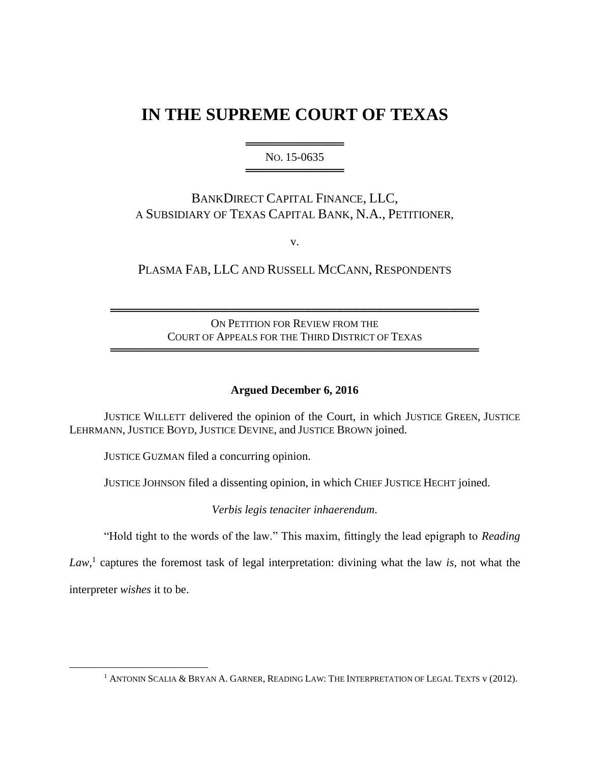# **IN THE SUPREME COURT OF TEXAS**

═══════════════════════ NO. 15-0635 ══════════════════════════

## BANKDIRECT CAPITAL FINANCE, LLC, A SUBSIDIARY OF TEXAS CAPITAL BANK, N.A., PETITIONER,

v.

PLASMA FAB, LLC AND RUSSELL MCCANN, RESPONDENTS

ON PETITION FOR REVIEW FROM THE COURT OF APPEALS FOR THE THIRD DISTRICT OF TEXAS

═════════════════════════════════════════════

═════════════════════════════════════════════

### **Argued December 6, 2016**

JUSTICE WILLETT delivered the opinion of the Court, in which JUSTICE GREEN, JUSTICE LEHRMANN, JUSTICE BOYD, JUSTICE DEVINE, and JUSTICE BROWN joined.

JUSTICE GUZMAN filed a concurring opinion.

 $\overline{a}$ 

JUSTICE JOHNSON filed a dissenting opinion, in which CHIEF JUSTICE HECHT joined.

*Verbis legis tenaciter inhaerendum*.

"Hold tight to the words of the law." This maxim, fittingly the lead epigraph to *Reading* 

Law,<sup>1</sup> captures the foremost task of legal interpretation: divining what the law *is*, not what the interpreter *wishes* it to be.

<sup>&</sup>lt;sup>1</sup> ANTONIN SCALIA & BRYAN A. GARNER, READING LAW: THE INTERPRETATION OF LEGAL TEXTS v (2012).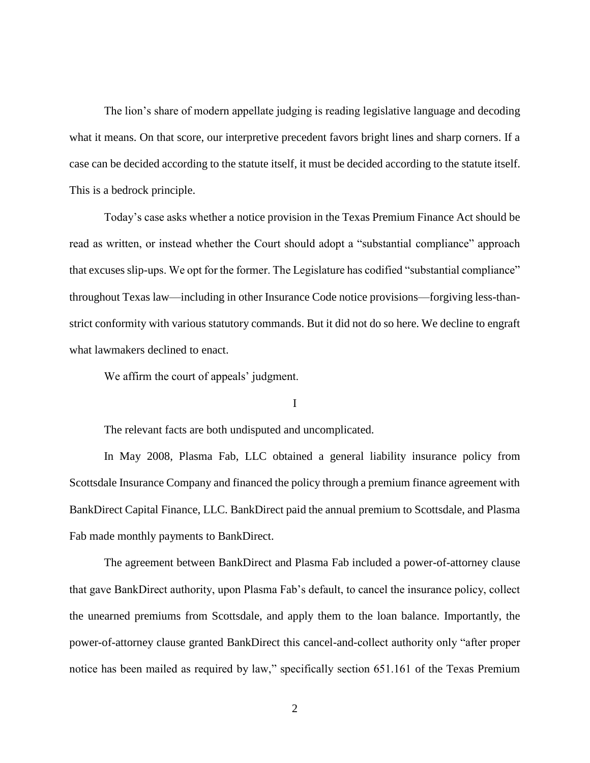The lion's share of modern appellate judging is reading legislative language and decoding what it means. On that score, our interpretive precedent favors bright lines and sharp corners. If a case can be decided according to the statute itself, it must be decided according to the statute itself. This is a bedrock principle.

Today's case asks whether a notice provision in the Texas Premium Finance Act should be read as written, or instead whether the Court should adopt a "substantial compliance" approach that excuses slip-ups. We opt for the former. The Legislature has codified "substantial compliance" throughout Texas law—including in other Insurance Code notice provisions—forgiving less-thanstrict conformity with various statutory commands. But it did not do so here. We decline to engraft what lawmakers declined to enact.

We affirm the court of appeals' judgment.

#### I

The relevant facts are both undisputed and uncomplicated.

In May 2008, Plasma Fab, LLC obtained a general liability insurance policy from Scottsdale Insurance Company and financed the policy through a premium finance agreement with BankDirect Capital Finance, LLC. BankDirect paid the annual premium to Scottsdale, and Plasma Fab made monthly payments to BankDirect.

The agreement between BankDirect and Plasma Fab included a power-of-attorney clause that gave BankDirect authority, upon Plasma Fab's default, to cancel the insurance policy, collect the unearned premiums from Scottsdale, and apply them to the loan balance. Importantly, the power-of-attorney clause granted BankDirect this cancel-and-collect authority only "after proper notice has been mailed as required by law," specifically section 651.161 of the Texas Premium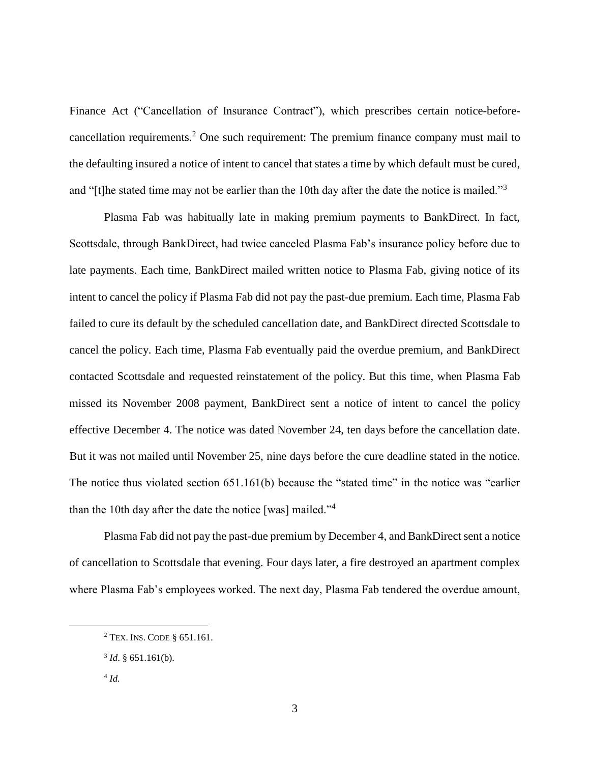Finance Act ("Cancellation of Insurance Contract"), which prescribes certain notice-beforecancellation requirements.<sup>2</sup> One such requirement: The premium finance company must mail to the defaulting insured a notice of intent to cancel that states a time by which default must be cured, and "[t]he stated time may not be earlier than the 10th day after the date the notice is mailed."<sup>3</sup>

Plasma Fab was habitually late in making premium payments to BankDirect. In fact, Scottsdale, through BankDirect, had twice canceled Plasma Fab's insurance policy before due to late payments. Each time, BankDirect mailed written notice to Plasma Fab, giving notice of its intent to cancel the policy if Plasma Fab did not pay the past-due premium. Each time, Plasma Fab failed to cure its default by the scheduled cancellation date, and BankDirect directed Scottsdale to cancel the policy. Each time, Plasma Fab eventually paid the overdue premium, and BankDirect contacted Scottsdale and requested reinstatement of the policy. But this time, when Plasma Fab missed its November 2008 payment, BankDirect sent a notice of intent to cancel the policy effective December 4. The notice was dated November 24, ten days before the cancellation date. But it was not mailed until November 25, nine days before the cure deadline stated in the notice. The notice thus violated section 651.161(b) because the "stated time" in the notice was "earlier than the 10th day after the date the notice [was] mailed."<sup>4</sup>

Plasma Fab did not pay the past-due premium by December 4, and BankDirect sent a notice of cancellation to Scottsdale that evening. Four days later, a fire destroyed an apartment complex where Plasma Fab's employees worked. The next day, Plasma Fab tendered the overdue amount,

<sup>2</sup> TEX. INS. CODE § 651.161.

 $3$  *Id.* § 651.161(b).

<sup>4</sup> *Id.*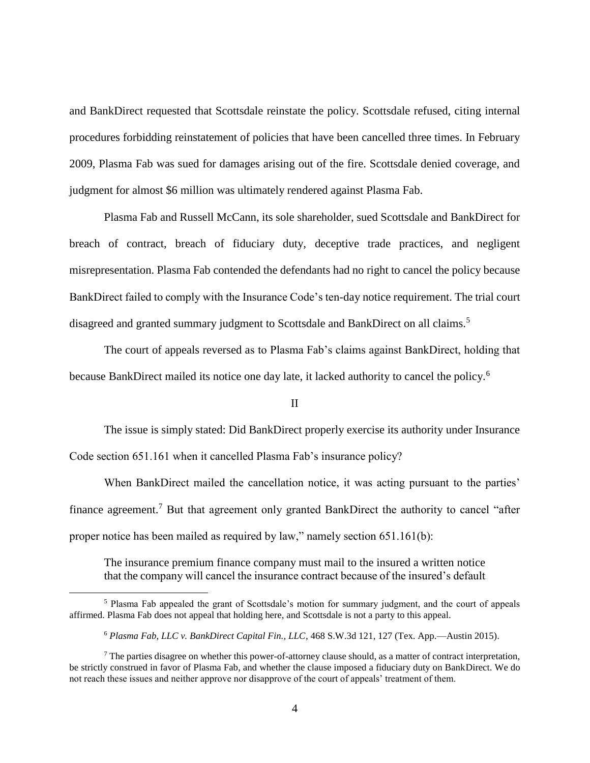and BankDirect requested that Scottsdale reinstate the policy. Scottsdale refused, citing internal procedures forbidding reinstatement of policies that have been cancelled three times. In February 2009, Plasma Fab was sued for damages arising out of the fire. Scottsdale denied coverage, and judgment for almost \$6 million was ultimately rendered against Plasma Fab.

Plasma Fab and Russell McCann, its sole shareholder, sued Scottsdale and BankDirect for breach of contract, breach of fiduciary duty, deceptive trade practices, and negligent misrepresentation. Plasma Fab contended the defendants had no right to cancel the policy because BankDirect failed to comply with the Insurance Code's ten-day notice requirement. The trial court disagreed and granted summary judgment to Scottsdale and BankDirect on all claims.<sup>5</sup>

The court of appeals reversed as to Plasma Fab's claims against BankDirect, holding that because BankDirect mailed its notice one day late, it lacked authority to cancel the policy.<sup>6</sup>

#### II

The issue is simply stated: Did BankDirect properly exercise its authority under Insurance Code section 651.161 when it cancelled Plasma Fab's insurance policy?

When BankDirect mailed the cancellation notice, it was acting pursuant to the parties' finance agreement.<sup>7</sup> But that agreement only granted BankDirect the authority to cancel "after proper notice has been mailed as required by law," namely section 651.161(b):

The insurance premium finance company must mail to the insured a written notice that the company will cancel the insurance contract because of the insured's default

<sup>5</sup> Plasma Fab appealed the grant of Scottsdale's motion for summary judgment, and the court of appeals affirmed. Plasma Fab does not appeal that holding here, and Scottsdale is not a party to this appeal.

<sup>6</sup> *Plasma Fab, LLC v. BankDirect Capital Fin., LLC*, 468 S.W.3d 121, 127 (Tex. App.—Austin 2015).

<sup>&</sup>lt;sup>7</sup> The parties disagree on whether this power-of-attorney clause should, as a matter of contract interpretation, be strictly construed in favor of Plasma Fab, and whether the clause imposed a fiduciary duty on BankDirect. We do not reach these issues and neither approve nor disapprove of the court of appeals' treatment of them.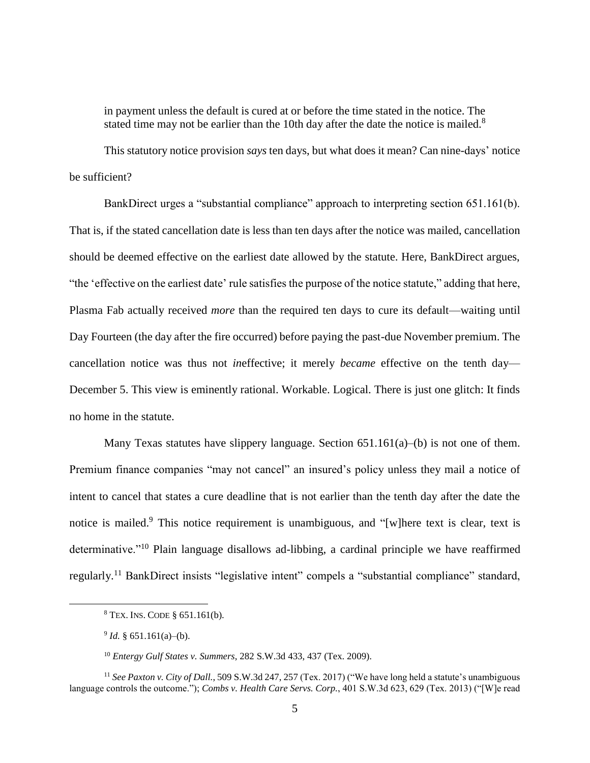in payment unless the default is cured at or before the time stated in the notice. The stated time may not be earlier than the 10th day after the date the notice is mailed. $8$ 

This statutory notice provision *says* ten days, but what does it mean? Can nine-days' notice be sufficient?

BankDirect urges a "substantial compliance" approach to interpreting section 651.161(b). That is, if the stated cancellation date is less than ten days after the notice was mailed, cancellation should be deemed effective on the earliest date allowed by the statute. Here, BankDirect argues, "the 'effective on the earliest date' rule satisfies the purpose of the notice statute," adding that here, Plasma Fab actually received *more* than the required ten days to cure its default—waiting until Day Fourteen (the day after the fire occurred) before paying the past-due November premium. The cancellation notice was thus not *in*effective; it merely *became* effective on the tenth day— December 5. This view is eminently rational. Workable. Logical. There is just one glitch: It finds no home in the statute.

Many Texas statutes have slippery language. Section 651.161(a)–(b) is not one of them. Premium finance companies "may not cancel" an insured's policy unless they mail a notice of intent to cancel that states a cure deadline that is not earlier than the tenth day after the date the notice is mailed.<sup>9</sup> This notice requirement is unambiguous, and "[w]here text is clear, text is determinative."<sup>10</sup> Plain language disallows ad-libbing, a cardinal principle we have reaffirmed regularly.<sup>11</sup> BankDirect insists "legislative intent" compels a "substantial compliance" standard,

<sup>8</sup> TEX. INS. CODE § 651.161(b).

 $^{9}$  *Id.* § 651.161(a)–(b).

<sup>10</sup> *Entergy Gulf States v. Summers*, 282 S.W.3d 433, 437 (Tex. 2009).

<sup>&</sup>lt;sup>11</sup> See Paxton v. City of Dall., 509 S.W.3d 247, 257 (Tex. 2017) ("We have long held a statute's unambiguous language controls the outcome."); *Combs v. Health Care Servs. Corp.*, 401 S.W.3d 623, 629 (Tex. 2013) ("[W]e read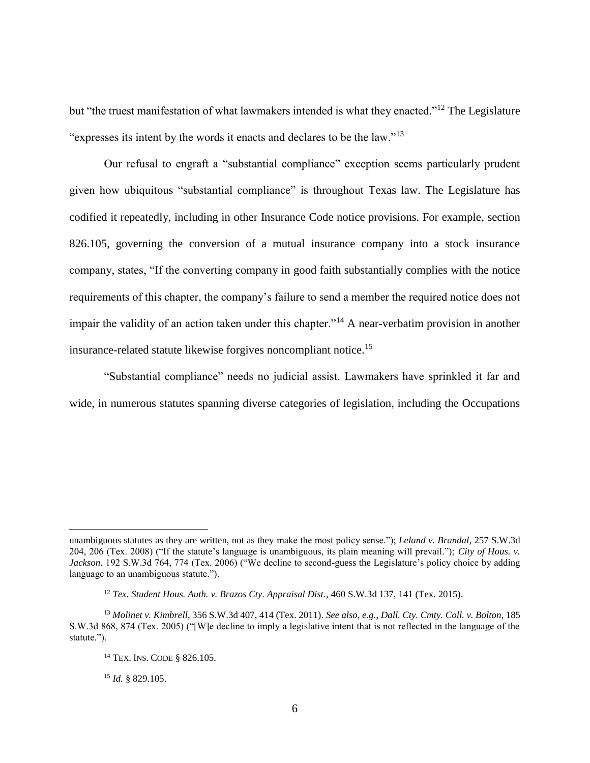but "the truest manifestation of what lawmakers intended is what they enacted."<sup>12</sup> The Legislature "expresses its intent by the words it enacts and declares to be the law."<sup>13</sup>

Our refusal to engraft a "substantial compliance" exception seems particularly prudent given how ubiquitous "substantial compliance" is throughout Texas law. The Legislature has codified it repeatedly, including in other Insurance Code notice provisions. For example, section 826.105, governing the conversion of a mutual insurance company into a stock insurance company, states, "If the converting company in good faith substantially complies with the notice requirements of this chapter, the company's failure to send a member the required notice does not impair the validity of an action taken under this chapter."<sup>14</sup> A near-verbatim provision in another insurance-related statute likewise forgives noncompliant notice.<sup>15</sup>

"Substantial compliance" needs no judicial assist. Lawmakers have sprinkled it far and wide, in numerous statutes spanning diverse categories of legislation, including the Occupations

unambiguous statutes as they are written, not as they make the most policy sense."); *Leland v. Brandal*, 257 S.W.3d 204, 206 (Tex. 2008) ("If the statute's language is unambiguous, its plain meaning will prevail."); *City of Hous. v. Jackson*, 192 S.W.3d 764, 774 (Tex. 2006) ("We decline to second-guess the Legislature's policy choice by adding language to an unambiguous statute.").

<sup>12</sup> *Tex. Student Hous. Auth. v. Brazos Cty. Appraisal Dist.*, 460 S.W.3d 137, 141 (Tex. 2015).

<sup>13</sup> *Molinet v. Kimbrell*, 356 S.W.3d 407, 414 (Tex. 2011). *See also, e.g.*, *Dall. Cty. Cmty. Coll. v. Bolton*, 185 S.W.3d 868, 874 (Tex. 2005) ("[W]e decline to imply a legislative intent that is not reflected in the language of the statute.").

<sup>14</sup> TEX. INS. CODE § 826.105.

<sup>15</sup> *Id.* § 829.105.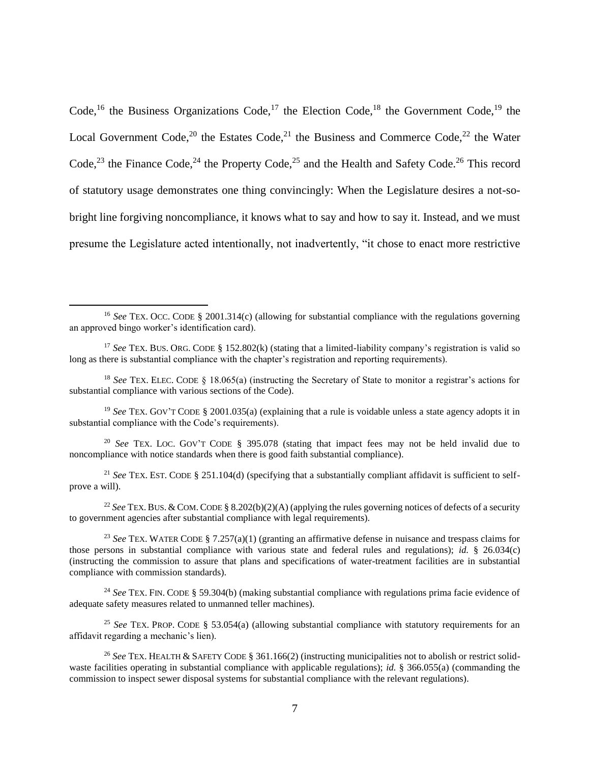Code,<sup>16</sup> the Business Organizations Code,<sup>17</sup> the Election Code,<sup>18</sup> the Government Code,<sup>19</sup> the Local Government Code,<sup>20</sup> the Estates Code,<sup>21</sup> the Business and Commerce Code,<sup>22</sup> the Water Code,<sup>23</sup> the Finance Code,<sup>24</sup> the Property Code,<sup>25</sup> and the Health and Safety Code.<sup>26</sup> This record of statutory usage demonstrates one thing convincingly: When the Legislature desires a not-sobright line forgiving noncompliance, it knows what to say and how to say it. Instead, and we must presume the Legislature acted intentionally, not inadvertently, "it chose to enact more restrictive

 $\overline{a}$ 

<sup>19</sup> *See* TEX. GOV'T CODE § 2001.035(a) (explaining that a rule is voidable unless a state agency adopts it in substantial compliance with the Code's requirements).

<sup>20</sup> *See* TEX. LOC. GOV'T CODE § 395.078 (stating that impact fees may not be held invalid due to noncompliance with notice standards when there is good faith substantial compliance).

<sup>21</sup> *See* TEX. EST. CODE § 251.104(d) (specifying that a substantially compliant affidavit is sufficient to selfprove a will).

<sup>22</sup> See TEX. BUS. & COM. CODE § 8.202(b)(2)(A) (applying the rules governing notices of defects of a security to government agencies after substantial compliance with legal requirements).

<sup>23</sup> *See* TEX. WATER CODE § 7.257(a)(1) (granting an affirmative defense in nuisance and trespass claims for those persons in substantial compliance with various state and federal rules and regulations); *id.* § 26.034(c) (instructing the commission to assure that plans and specifications of water-treatment facilities are in substantial compliance with commission standards).

<sup>24</sup> *See* TEX. FIN. CODE § 59.304(b) (making substantial compliance with regulations prima facie evidence of adequate safety measures related to unmanned teller machines).

<sup>25</sup> *See* TEX. PROP. CODE § 53.054(a) (allowing substantial compliance with statutory requirements for an affidavit regarding a mechanic's lien).

<sup>26</sup> *See* TEX. HEALTH & SAFETY CODE § 361.166(2) (instructing municipalities not to abolish or restrict solidwaste facilities operating in substantial compliance with applicable regulations); *id.* § 366.055(a) (commanding the commission to inspect sewer disposal systems for substantial compliance with the relevant regulations).

<sup>&</sup>lt;sup>16</sup> *See* TEX. OCC. CODE § 2001.314(c) (allowing for substantial compliance with the regulations governing an approved bingo worker's identification card).

<sup>&</sup>lt;sup>17</sup> *See* TEX. BUS. ORG. CODE § 152.802(k) (stating that a limited-liability company's registration is valid so long as there is substantial compliance with the chapter's registration and reporting requirements).

<sup>18</sup> *See* TEX. ELEC. CODE § 18.065(a) (instructing the Secretary of State to monitor a registrar's actions for substantial compliance with various sections of the Code).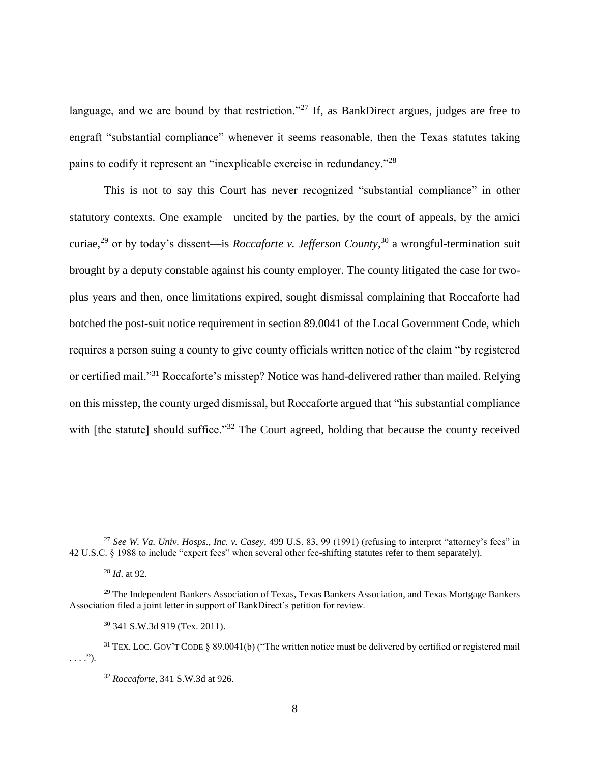language, and we are bound by that restriction."<sup>27</sup> If, as BankDirect argues, judges are free to engraft "substantial compliance" whenever it seems reasonable, then the Texas statutes taking pains to codify it represent an "inexplicable exercise in redundancy."<sup>28</sup>

This is not to say this Court has never recognized "substantial compliance" in other statutory contexts. One example—uncited by the parties, by the court of appeals, by the amici curiae, <sup>29</sup> or by today's dissent—is *Roccaforte v. Jefferson County*, <sup>30</sup> a wrongful-termination suit brought by a deputy constable against his county employer. The county litigated the case for twoplus years and then, once limitations expired, sought dismissal complaining that Roccaforte had botched the post-suit notice requirement in section 89.0041 of the Local Government Code, which requires a person suing a county to give county officials written notice of the claim "by registered or certified mail."<sup>31</sup> Roccaforte's misstep? Notice was hand-delivered rather than mailed. Relying on this misstep, the county urged dismissal, but Roccaforte argued that "his substantial compliance with [the statute] should suffice."<sup>32</sup> The Court agreed, holding that because the county received

<sup>27</sup> *See W. Va. Univ. Hosps., Inc. v. Casey*, 499 U.S. 83, 99 (1991) (refusing to interpret "attorney's fees" in 42 U.S.C. § 1988 to include "expert fees" when several other fee-shifting statutes refer to them separately).

<sup>28</sup> *Id*. at 92.

<sup>&</sup>lt;sup>29</sup> The Independent Bankers Association of Texas, Texas Bankers Association, and Texas Mortgage Bankers Association filed a joint letter in support of BankDirect's petition for review.

<sup>30</sup> 341 S.W.3d 919 (Tex. 2011).

 $31$  TEX. LOC. GOV'T CODE § 89.0041(b) ("The written notice must be delivered by certified or registered mail  $\ldots$ .").

<sup>32</sup> *Roccaforte*, 341 S.W.3d at 926.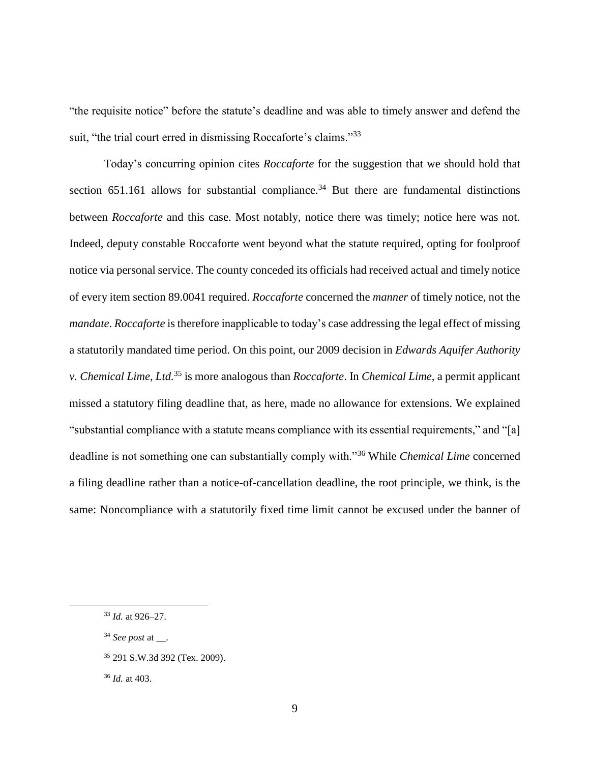"the requisite notice" before the statute's deadline and was able to timely answer and defend the suit, "the trial court erred in dismissing Roccaforte's claims."<sup>33</sup>

Today's concurring opinion cites *Roccaforte* for the suggestion that we should hold that section  $651.161$  allows for substantial compliance.<sup>34</sup> But there are fundamental distinctions between *Roccaforte* and this case. Most notably, notice there was timely; notice here was not. Indeed, deputy constable Roccaforte went beyond what the statute required, opting for foolproof notice via personal service. The county conceded its officials had received actual and timely notice of every item section 89.0041 required. *Roccaforte* concerned the *manner* of timely notice, not the *mandate. Roccaforte* is therefore inapplicable to today's case addressing the legal effect of missing a statutorily mandated time period. On this point, our 2009 decision in *Edwards Aquifer Authority v. Chemical Lime, Ltd.*<sup>35</sup> is more analogous than *Roccaforte*. In *Chemical Lime*, a permit applicant missed a statutory filing deadline that, as here, made no allowance for extensions. We explained "substantial compliance with a statute means compliance with its essential requirements," and "[a] deadline is not something one can substantially comply with."<sup>36</sup> While *Chemical Lime* concerned a filing deadline rather than a notice-of-cancellation deadline, the root principle, we think, is the same: Noncompliance with a statutorily fixed time limit cannot be excused under the banner of

 $\overline{a}$ 

<sup>34</sup> *See post* at .

<sup>33</sup> *Id.* at 926–27.

<sup>35</sup> 291 S.W.3d 392 (Tex. 2009).

<sup>36</sup> *Id.* at 403.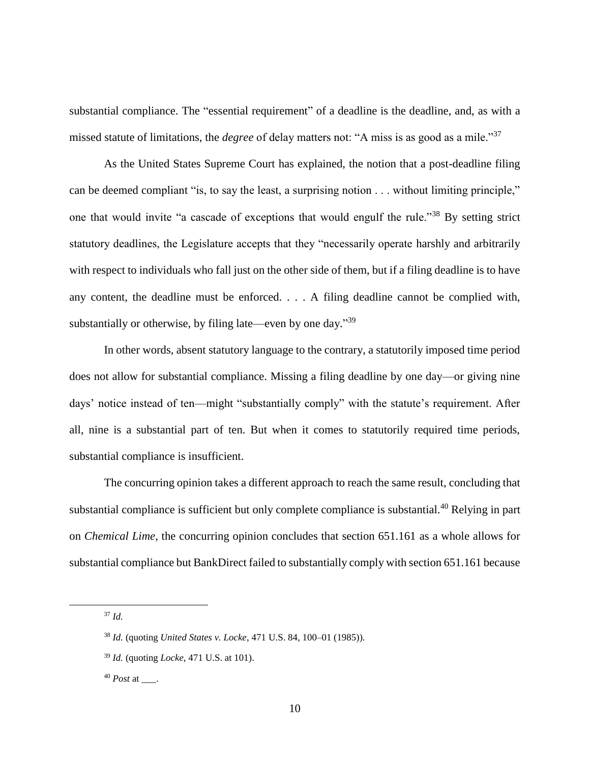substantial compliance. The "essential requirement" of a deadline is the deadline, and, as with a missed statute of limitations, the *degree* of delay matters not: "A miss is as good as a mile."<sup>37</sup>

As the United States Supreme Court has explained, the notion that a post-deadline filing can be deemed compliant "is, to say the least, a surprising notion . . . without limiting principle," one that would invite "a cascade of exceptions that would engulf the rule."<sup>38</sup> By setting strict statutory deadlines, the Legislature accepts that they "necessarily operate harshly and arbitrarily with respect to individuals who fall just on the other side of them, but if a filing deadline is to have any content, the deadline must be enforced. . . . A filing deadline cannot be complied with, substantially or otherwise, by filing late—even by one day."<sup>39</sup>

In other words, absent statutory language to the contrary, a statutorily imposed time period does not allow for substantial compliance. Missing a filing deadline by one day—or giving nine days' notice instead of ten—might "substantially comply" with the statute's requirement. After all, nine is a substantial part of ten. But when it comes to statutorily required time periods, substantial compliance is insufficient.

The concurring opinion takes a different approach to reach the same result, concluding that substantial compliance is sufficient but only complete compliance is substantial.<sup>40</sup> Relying in part on *Chemical Lime*, the concurring opinion concludes that section 651.161 as a whole allows for substantial compliance but BankDirect failed to substantially comply with section 651.161 because

<sup>37</sup> *Id.*

 $\overline{a}$ 

<sup>40</sup> *Post* at \_\_\_.

<sup>38</sup> *Id.* (quoting *United States v. Locke*, 471 U.S. 84, 100–01 (1985)).

<sup>39</sup> *Id.* (quoting *Locke*, 471 U.S. at 101).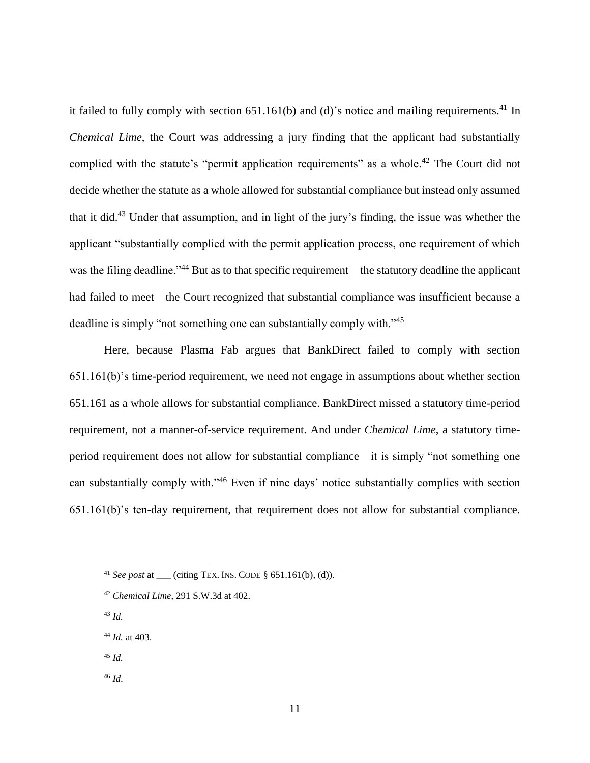it failed to fully comply with section 651.161(b) and (d)'s notice and mailing requirements.<sup>41</sup> In *Chemical Lime*, the Court was addressing a jury finding that the applicant had substantially complied with the statute's "permit application requirements" as a whole.<sup>42</sup> The Court did not decide whether the statute as a whole allowed for substantial compliance but instead only assumed that it did.<sup>43</sup> Under that assumption, and in light of the jury's finding, the issue was whether the applicant "substantially complied with the permit application process, one requirement of which was the filing deadline."<sup>44</sup> But as to that specific requirement—the statutory deadline the applicant had failed to meet—the Court recognized that substantial compliance was insufficient because a deadline is simply "not something one can substantially comply with."<sup>45</sup>

Here, because Plasma Fab argues that BankDirect failed to comply with section 651.161(b)'s time-period requirement, we need not engage in assumptions about whether section 651.161 as a whole allows for substantial compliance. BankDirect missed a statutory time-period requirement, not a manner-of-service requirement. And under *Chemical Lime*, a statutory timeperiod requirement does not allow for substantial compliance—it is simply "not something one can substantially comply with."<sup>46</sup> Even if nine days' notice substantially complies with section 651.161(b)'s ten-day requirement, that requirement does not allow for substantial compliance.

<sup>43</sup> *Id.*

- <sup>44</sup> *Id.* at 403.
- <sup>45</sup> *Id.*
- <sup>46</sup> *Id.*

<sup>41</sup> *See post* at \_\_\_ (citing TEX. INS. CODE § 651.161(b), (d)).

<sup>42</sup> *Chemical Lime*, 291 S.W.3d at 402.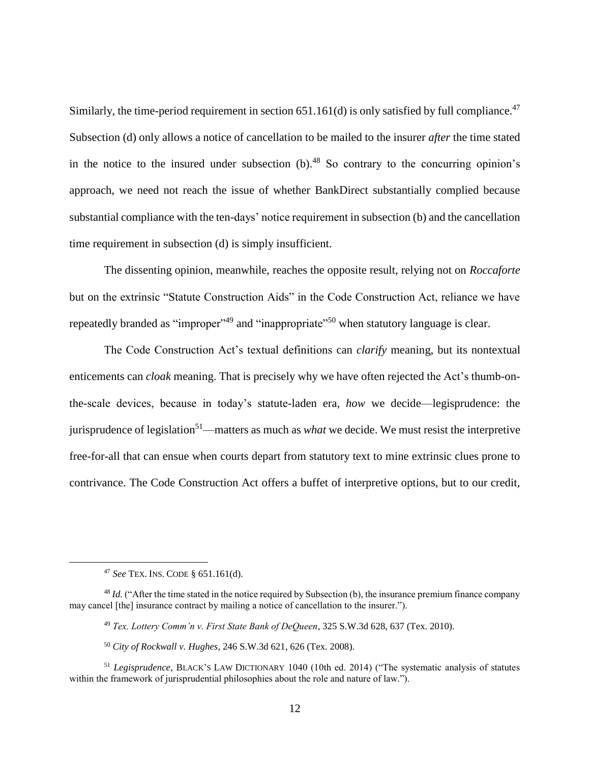Similarly, the time-period requirement in section  $651.161(d)$  is only satisfied by full compliance.<sup>47</sup> Subsection (d) only allows a notice of cancellation to be mailed to the insurer *after* the time stated in the notice to the insured under subsection  $(b)$ .<sup>48</sup> So contrary to the concurring opinion's approach, we need not reach the issue of whether BankDirect substantially complied because substantial compliance with the ten-days' notice requirement in subsection (b) and the cancellation time requirement in subsection (d) is simply insufficient.

The dissenting opinion, meanwhile, reaches the opposite result, relying not on *Roccaforte*  but on the extrinsic "Statute Construction Aids" in the Code Construction Act, reliance we have repeatedly branded as "improper"<sup>49</sup> and "inappropriate"<sup>50</sup> when statutory language is clear.

The Code Construction Act's textual definitions can *clarify* meaning, but its nontextual enticements can *cloak* meaning. That is precisely why we have often rejected the Act's thumb-onthe-scale devices, because in today's statute-laden era, *how* we decide—legisprudence: the jurisprudence of legislation<sup>51</sup>—matters as much as *what* we decide. We must resist the interpretive free-for-all that can ensue when courts depart from statutory text to mine extrinsic clues prone to contrivance. The Code Construction Act offers a buffet of interpretive options, but to our credit,

<sup>47</sup> *See* TEX. INS. CODE § 651.161(d).

<sup>&</sup>lt;sup>48</sup> *Id.* ("After the time stated in the notice required by Subsection (b), the insurance premium finance company may cancel [the] insurance contract by mailing a notice of cancellation to the insurer.").

<sup>49</sup> *Tex. Lottery Comm'n v. First State Bank of DeQueen*, 325 S.W.3d 628, 637 (Tex. 2010).

<sup>50</sup> *City of Rockwall v. Hughes*, 246 S.W.3d 621, 626 (Tex. 2008).

<sup>51</sup> *Legisprudence*, BLACK'S LAW DICTIONARY 1040 (10th ed. 2014) ("The systematic analysis of statutes within the framework of jurisprudential philosophies about the role and nature of law.").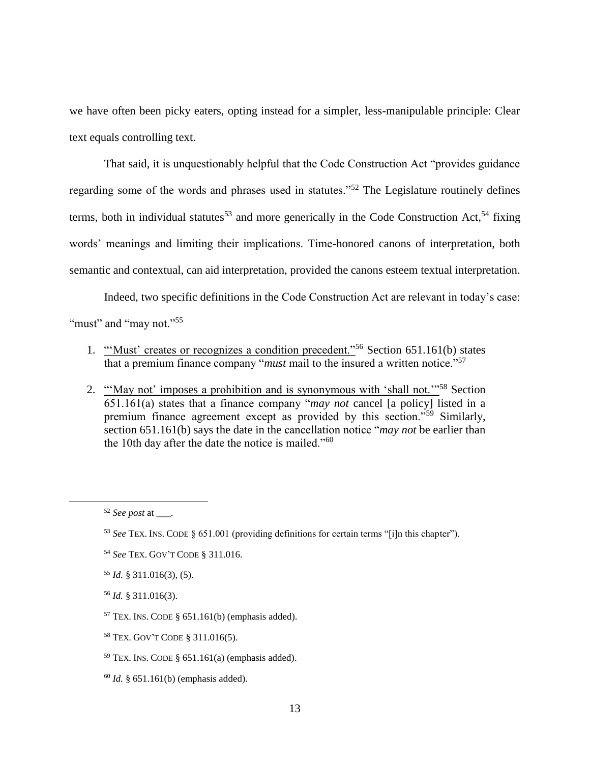we have often been picky eaters, opting instead for a simpler, less-manipulable principle: Clear text equals controlling text.

That said, it is unquestionably helpful that the Code Construction Act "provides guidance regarding some of the words and phrases used in statutes."<sup>52</sup> The Legislature routinely defines terms, both in individual statutes<sup>53</sup> and more generically in the Code Construction Act,<sup>54</sup> fixing words' meanings and limiting their implications. Time-honored canons of interpretation, both semantic and contextual, can aid interpretation, provided the canons esteem textual interpretation.

Indeed, two specific definitions in the Code Construction Act are relevant in today's case: "must" and "may not."<sup>55</sup>

1. "'Must' creates or recognizes a condition precedent."<sup>56</sup> Section 651.161(b) states that a premium finance company "*must* mail to the insured a written notice."<sup>57</sup>

2. "'May not' imposes a prohibition and is synonymous with 'shall not.'"<sup>58</sup> Section 651.161(a) states that a finance company "*may not* cancel [a policy] listed in a premium finance agreement except as provided by this section."<sup>59</sup> Similarly, section 651.161(b) says the date in the cancellation notice "*may not* be earlier than the 10th day after the date the notice is mailed."<sup>60</sup>

 $52$  *See post* at  $\qquad$ .

<sup>53</sup> *See* TEX. INS. CODE § 651.001 (providing definitions for certain terms "[i]n this chapter").

<sup>54</sup> *See* TEX. GOV'T CODE § 311.016.

<sup>55</sup> *Id.* § 311.016(3), (5).

<sup>56</sup> *Id.* § 311.016(3).

 $57$  TEX. INS. CODE § 651.161(b) (emphasis added).

<sup>58</sup> TEX. GOV'T CODE § 311.016(5).

 $59$  TEX. INS. CODE § 651.161(a) (emphasis added).

<sup>60</sup> *Id.* § 651.161(b) (emphasis added).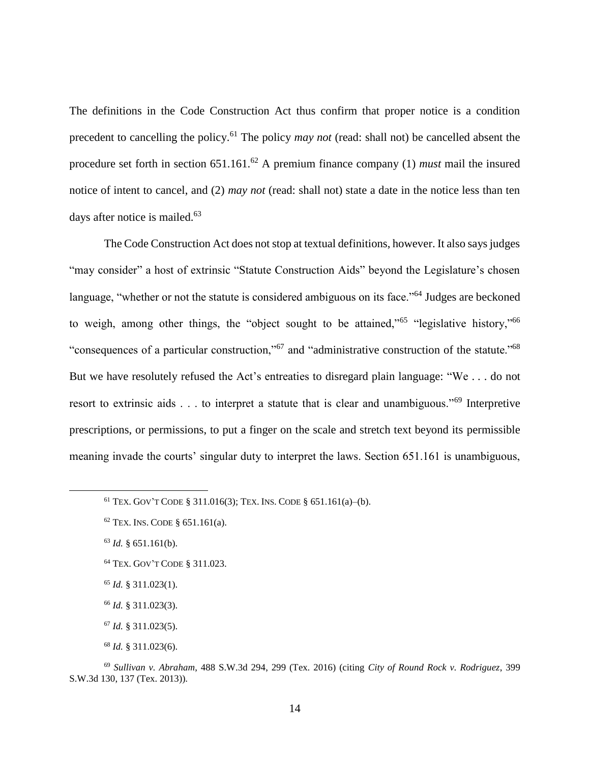The definitions in the Code Construction Act thus confirm that proper notice is a condition precedent to cancelling the policy.<sup>61</sup> The policy *may not* (read: shall not) be cancelled absent the procedure set forth in section 651.161.<sup>62</sup> A premium finance company (1) *must* mail the insured notice of intent to cancel, and (2) *may not* (read: shall not) state a date in the notice less than ten days after notice is mailed.<sup>63</sup>

The Code Construction Act does not stop at textual definitions, however. It also says judges "may consider" a host of extrinsic "Statute Construction Aids" beyond the Legislature's chosen language, "whether or not the statute is considered ambiguous on its face."<sup>64</sup> Judges are beckoned to weigh, among other things, the "object sought to be attained,"<sup>65</sup> "legislative history,"<sup>66</sup> "consequences of a particular construction,"<sup>67</sup> and "administrative construction of the statute."<sup>68</sup> But we have resolutely refused the Act's entreaties to disregard plain language: "We . . . do not resort to extrinsic aids . . . to interpret a statute that is clear and unambiguous."<sup>69</sup> Interpretive prescriptions, or permissions, to put a finger on the scale and stretch text beyond its permissible meaning invade the courts' singular duty to interpret the laws. Section 651.161 is unambiguous,

<sup>63</sup> *Id.* § 651.161(b).

- <sup>64</sup> TEX. GOV'T CODE § 311.023.
- <sup>65</sup> *Id.* § 311.023(1).
- <sup>66</sup> *Id.* § 311.023(3).
- <sup>67</sup> *Id.* § 311.023(5).

 $61$  TEX. GOV'T CODE § 311.016(3); TEX. INS. CODE § 651.161(a)–(b).

<sup>62</sup> TEX. INS. CODE § 651.161(a).

<sup>68</sup> *Id.* § 311.023(6).

<sup>69</sup> *Sullivan v. Abraham*, 488 S.W.3d 294, 299 (Tex. 2016) (citing *City of Round Rock v. Rodriguez*, 399 S.W.3d 130, 137 (Tex. 2013)).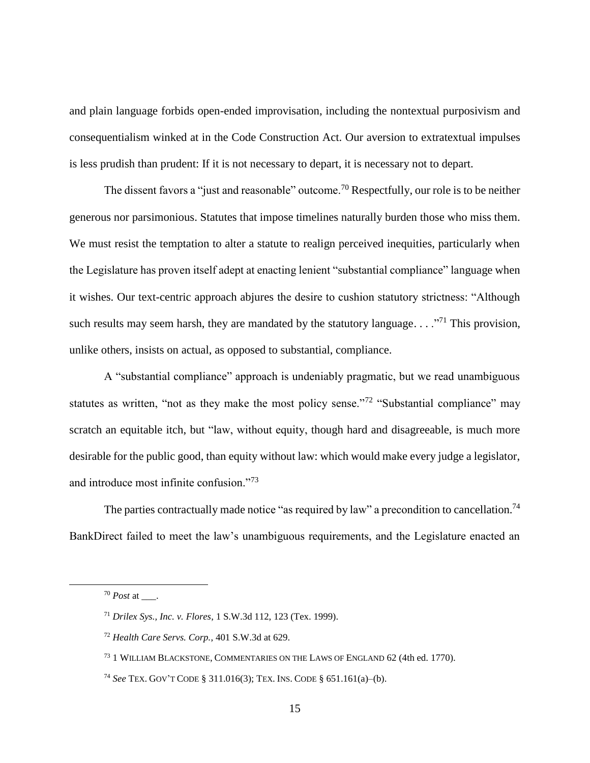and plain language forbids open-ended improvisation, including the nontextual purposivism and consequentialism winked at in the Code Construction Act. Our aversion to extratextual impulses is less prudish than prudent: If it is not necessary to depart, it is necessary not to depart.

The dissent favors a "just and reasonable" outcome.<sup>70</sup> Respectfully, our role is to be neither generous nor parsimonious. Statutes that impose timelines naturally burden those who miss them. We must resist the temptation to alter a statute to realign perceived inequities, particularly when the Legislature has proven itself adept at enacting lenient "substantial compliance" language when it wishes. Our text-centric approach abjures the desire to cushion statutory strictness: "Although such results may seem harsh, they are mandated by the statutory language.  $\ldots$ <sup>71</sup> This provision, unlike others, insists on actual, as opposed to substantial, compliance.

A "substantial compliance" approach is undeniably pragmatic, but we read unambiguous statutes as written, "not as they make the most policy sense."<sup>72</sup> "Substantial compliance" may scratch an equitable itch, but "law, without equity, though hard and disagreeable, is much more desirable for the public good, than equity without law: which would make every judge a legislator, and introduce most infinite confusion."<sup>73</sup>

The parties contractually made notice "as required by law" a precondition to cancellation.<sup>74</sup> BankDirect failed to meet the law's unambiguous requirements, and the Legislature enacted an

<sup>70</sup> *Post* at \_\_\_.

<sup>71</sup> *Drilex Sys., Inc. v. Flores*, 1 S.W.3d 112, 123 (Tex. 1999).

<sup>72</sup> *Health Care Servs. Corp.*, 401 S.W.3d at 629.

<sup>73</sup> 1 WILLIAM BLACKSTONE, COMMENTARIES ON THE LAWS OF ENGLAND 62 (4th ed. 1770).

<sup>74</sup> *See* TEX. GOV'T CODE § 311.016(3); TEX. INS. CODE § 651.161(a)–(b).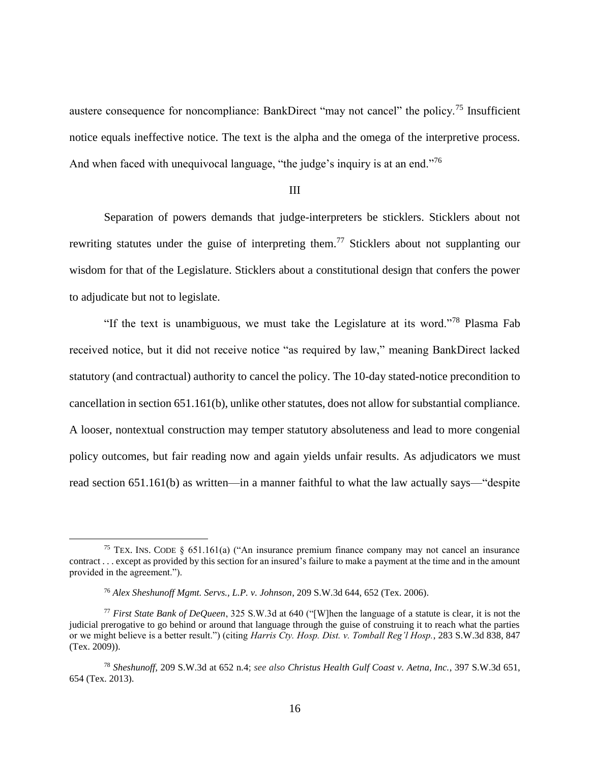austere consequence for noncompliance: BankDirect "may not cancel" the policy.<sup>75</sup> Insufficient notice equals ineffective notice. The text is the alpha and the omega of the interpretive process. And when faced with unequivocal language, "the judge's inquiry is at an end."<sup>76</sup>

#### III

Separation of powers demands that judge-interpreters be sticklers. Sticklers about not rewriting statutes under the guise of interpreting them.<sup>77</sup> Sticklers about not supplanting our wisdom for that of the Legislature. Sticklers about a constitutional design that confers the power to adjudicate but not to legislate.

"If the text is unambiguous, we must take the Legislature at its word."<sup>78</sup> Plasma Fab received notice, but it did not receive notice "as required by law," meaning BankDirect lacked statutory (and contractual) authority to cancel the policy. The 10-day stated-notice precondition to cancellation in section 651.161(b), unlike other statutes, does not allow for substantial compliance. A looser, nontextual construction may temper statutory absoluteness and lead to more congenial policy outcomes, but fair reading now and again yields unfair results. As adjudicators we must read section 651.161(b) as written—in a manner faithful to what the law actually says—"despite

<sup>&</sup>lt;sup>75</sup> TEX. INS. CODE  $\S$  651.161(a) ("An insurance premium finance company may not cancel an insurance contract . . . except as provided by this section for an insured's failure to make a payment at the time and in the amount provided in the agreement.").

<sup>76</sup> *Alex Sheshunoff Mgmt. Servs., L.P. v. Johnson*, 209 S.W.3d 644, 652 (Tex. 2006).

<sup>77</sup> *First State Bank of DeQueen*, 325 S.W.3d at 640 ("[W]hen the language of a statute is clear, it is not the judicial prerogative to go behind or around that language through the guise of construing it to reach what the parties or we might believe is a better result.") (citing *Harris Cty. Hosp. Dist. v. Tomball Reg'l Hosp.*, 283 S.W.3d 838, 847 (Tex. 2009)).

<sup>78</sup> *Sheshunoff,* 209 S.W.3d at 652 n.4; *see also Christus Health Gulf Coast v. Aetna, Inc.*, 397 S.W.3d 651, 654 (Tex. 2013).